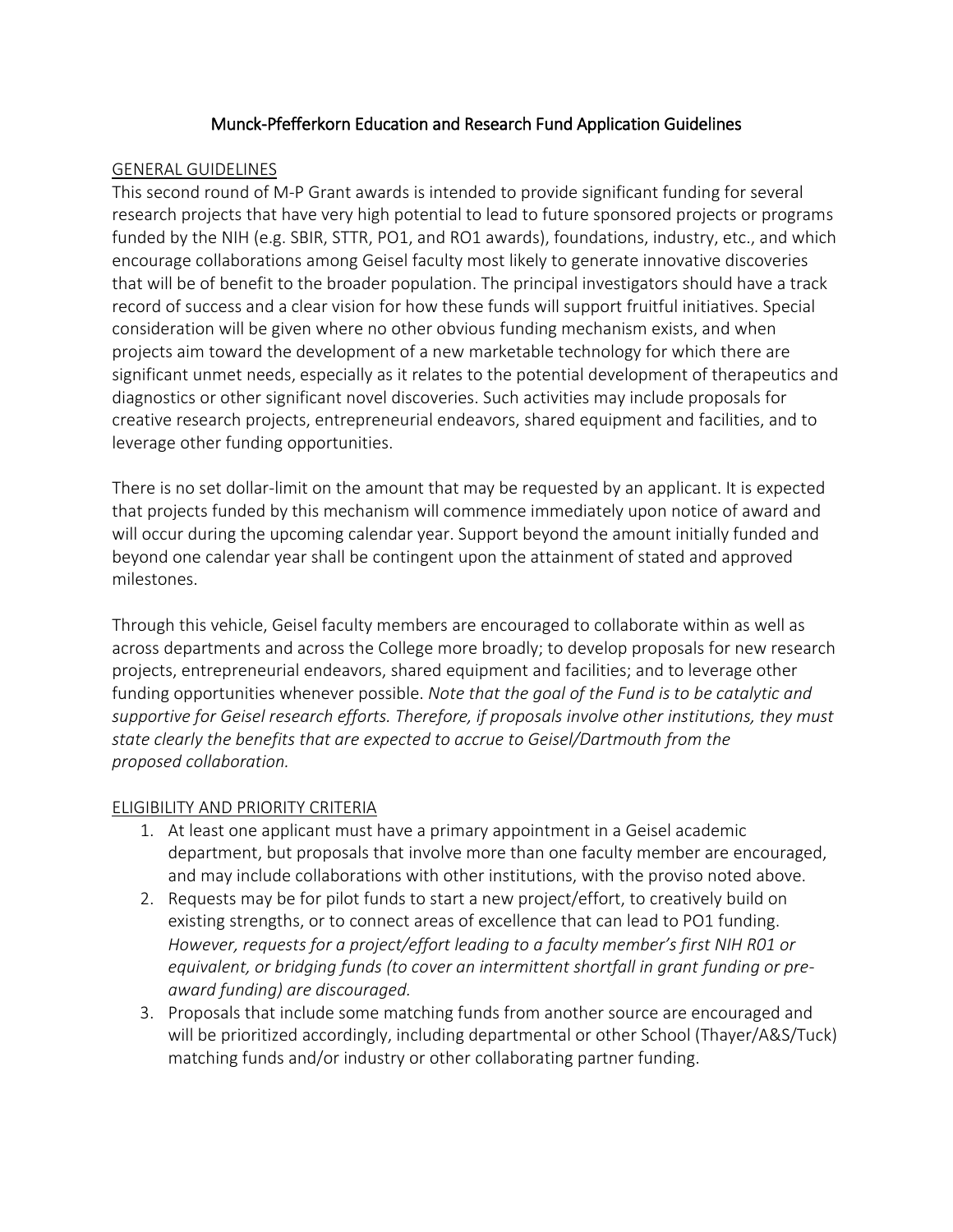### Munck-Pfefferkorn Education and Research Fund Application Guidelines

#### GENERAL GUIDELINES

This second round of M-P Grant awards is intended to provide significant funding for several research projects that have very high potential to lead to future sponsored projects or programs funded by the NIH (e.g. SBIR, STTR, PO1, and RO1 awards), foundations, industry, etc., and which encourage collaborations among Geisel faculty most likely to generate innovative discoveries that will be of benefit to the broader population. The principal investigators should have a track record of success and a clear vision for how these funds will support fruitful initiatives. Special consideration will be given where no other obvious funding mechanism exists, and when projects aim toward the development of a new marketable technology for which there are significant unmet needs, especially as it relates to the potential development of therapeutics and diagnostics or other significant novel discoveries. Such activities may include proposals for creative research projects, entrepreneurial endeavors, shared equipment and facilities, and to leverage other funding opportunities.

There is no set dollar-limit on the amount that may be requested by an applicant. It is expected that projects funded by this mechanism will commence immediately upon notice of award and will occur during the upcoming calendar year. Support beyond the amount initially funded and beyond one calendar year shall be contingent upon the attainment of stated and approved milestones.

Through this vehicle, Geisel faculty members are encouraged to collaborate within as well as across departments and across the College more broadly; to develop proposals for new research projects, entrepreneurial endeavors, shared equipment and facilities; and to leverage other funding opportunities whenever possible. *Note that the goal of the Fund is to be catalytic and supportive for Geisel research efforts. Therefore, if proposals involve other institutions, they must state clearly the benefits that are expected to accrue to Geisel/Dartmouth from the proposed collaboration.* 

#### ELIGIBILITY AND PRIORITY CRITERIA

- 1. At least one applicant must have a primary appointment in a Geisel academic department, but proposals that involve more than one faculty member are encouraged, and may include collaborations with other institutions, with the proviso noted above.
- 2. Requests may be for pilot funds to start a new project/effort, to creatively build on existing strengths, or to connect areas of excellence that can lead to PO1 funding. *However, requests for a project/effort leading to a faculty member's first NIH R01 or equivalent, or bridging funds (to cover an intermittent shortfall in grant funding or preaward funding) are discouraged.*
- 3. Proposals that include some matching funds from another source are encouraged and will be prioritized accordingly, including departmental or other School (Thayer/A&S/Tuck) matching funds and/or industry or other collaborating partner funding.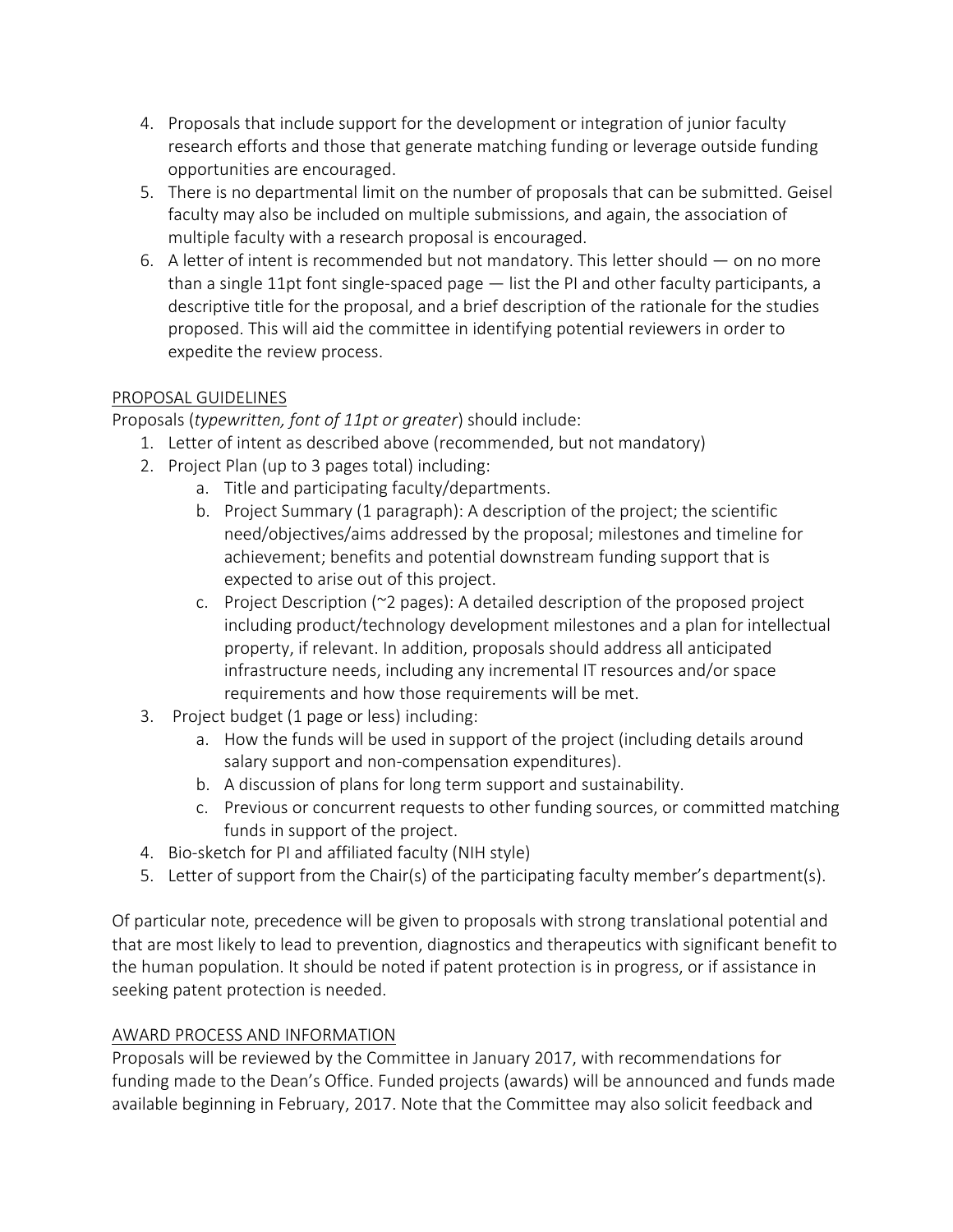- 4. Proposals that include support for the development or integration of junior faculty research efforts and those that generate matching funding or leverage outside funding opportunities are encouraged.
- 5. There is no departmental limit on the number of proposals that can be submitted. Geisel faculty may also be included on multiple submissions, and again, the association of multiple faculty with a research proposal is encouraged.
- 6. A letter of intent is recommended but not mandatory. This letter should on no more than a single 11pt font single-spaced page — list the PI and other faculty participants, a descriptive title for the proposal, and a brief description of the rationale for the studies proposed. This will aid the committee in identifying potential reviewers in order to expedite the review process.

# PROPOSAL GUIDELINES

Proposals (*typewritten, font of 11pt or greater*) should include:

- 1. Letter of intent as described above (recommended, but not mandatory)
- 2. Project Plan (up to 3 pages total) including:
	- a. Title and participating faculty/departments.
	- b. Project Summary (1 paragraph): A description of the project; the scientific need/objectives/aims addressed by the proposal; milestones and timeline for achievement; benefits and potential downstream funding support that is expected to arise out of this project.
	- c. Project Description ( $\approx$  pages): A detailed description of the proposed project including product/technology development milestones and a plan for intellectual property, if relevant. In addition, proposals should address all anticipated infrastructure needs, including any incremental IT resources and/or space requirements and how those requirements will be met.
- 3. Project budget (1 page or less) including:
	- a. How the funds will be used in support of the project (including details around salary support and non-compensation expenditures).
	- b. A discussion of plans for long term support and sustainability.
	- c. Previous or concurrent requests to other funding sources, or committed matching funds in support of the project.
- 4. Bio-sketch for PI and affiliated faculty (NIH style)
- 5. Letter of support from the Chair(s) of the participating faculty member's department(s).

Of particular note, precedence will be given to proposals with strong translational potential and that are most likely to lead to prevention, diagnostics and therapeutics with significant benefit to the human population. It should be noted if patent protection is in progress, or if assistance in seeking patent protection is needed.

# AWARD PROCESS AND INFORMATION

Proposals will be reviewed by the Committee in January 2017, with recommendations for funding made to the Dean's Office. Funded projects (awards) will be announced and funds made available beginning in February, 2017. Note that the Committee may also solicit feedback and